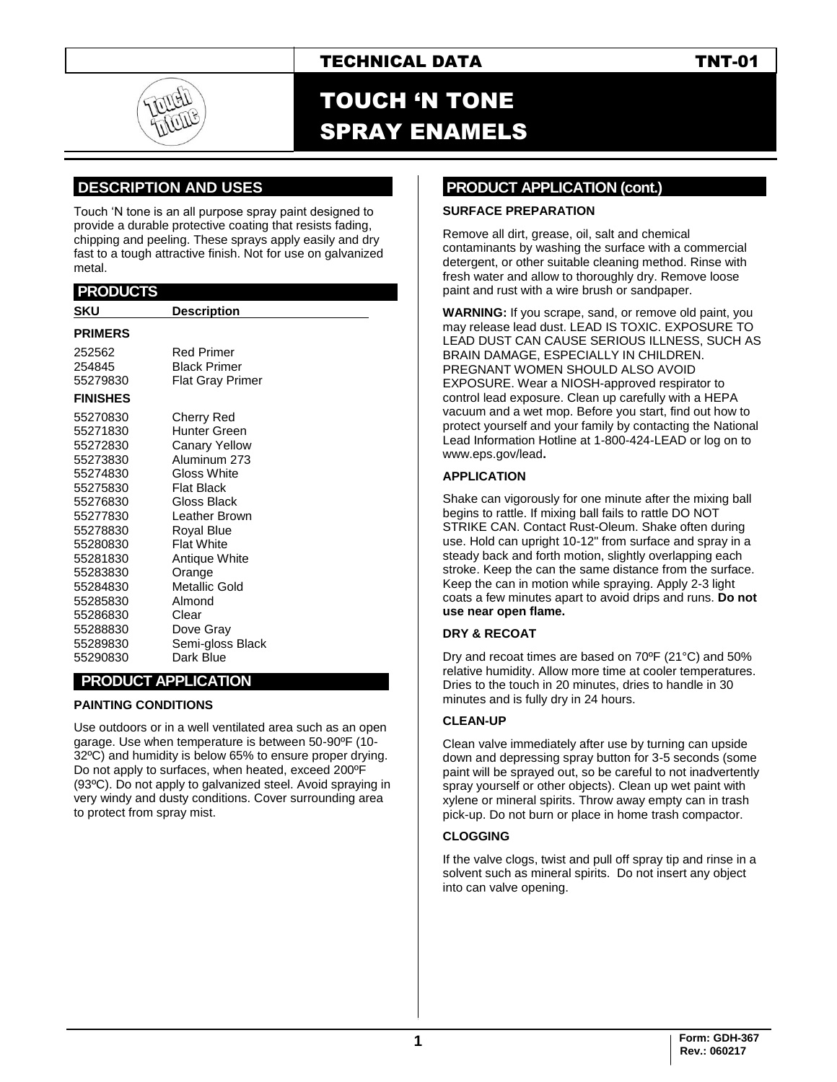## TECHNICAL DATA TNT-01

# TOUCH 'N TONE SPRAY ENAMELS

## **.DESCRIPTION AND USES .**

Touch 'N tone is an all purpose spray paint designed to provide a durable protective coating that resists fading, chipping and peeling. These sprays apply easily and dry fast to a tough attractive finish. Not for use on galvanized metal.

#### **.PRODUCTS . SKU Description PRIMERS** 252562 Red Primer 254845 Black Primer 55279830 Flat Gray Primer **FINISHES**  55270830 Cherry Red 55271830 Hunter Green 55272830 Canary Yellow 55273830 Aluminum 273 Gloss White<br>Flat Black 55275830 55276830 Gloss Black 55277830 Leather Brown 55278830 Royal Blue 55280830 Flat White 55281830 Antique White 55283830 Orange 55284830 Metallic Gold 55285830 Almond 55286830 55288830 Dove Gray 55289830 Semi-gloss Black 55290830 Dark Blue **. PRODUCT APPLICATION .**

#### **PAINTING CONDITIONS**

Use outdoors or in a well ventilated area such as an open garage. Use when temperature is between 50-90ºF (10- 32ºC) and humidity is below 65% to ensure proper drying. Do not apply to surfaces, when heated, exceed 200ºF (93ºC). Do not apply to galvanized steel. Avoid spraying in very windy and dusty conditions. Cover surrounding area to protect from spray mist.

### **PRODUCT APPLICATION (cont.)**

#### **SURFACE PREPARATION**

Remove all dirt, grease, oil, salt and chemical contaminants by washing the surface with a commercial detergent, or other suitable cleaning method. Rinse with fresh water and allow to thoroughly dry. Remove loose paint and rust with a wire brush or sandpaper.

**WARNING:** If you scrape, sand, or remove old paint, you may release lead dust. LEAD IS TOXIC. EXPOSURE TO LEAD DUST CAN CAUSE SERIOUS ILLNESS, SUCH AS BRAIN DAMAGE, ESPECIALLY IN CHILDREN. PREGNANT WOMEN SHOULD ALSO AVOID EXPOSURE. Wear a NIOSH-approved respirator to control lead exposure. Clean up carefully with a HEPA vacuum and a wet mop. Before you start, find out how to protect yourself and your family by contacting the National Lead Information Hotline at 1-800-424-LEAD or log on to [www.eps.gov/lead](http://www.eps.gov/lead)**.**

#### **APPLICATION**

Shake can vigorously for one minute after the mixing ball begins to rattle. If mixing ball fails to rattle DO NOT STRIKE CAN. Contact Rust-Oleum. Shake often during use. Hold can upright 10-12" from surface and spray in a steady back and forth motion, slightly overlapping each stroke. Keep the can the same distance from the surface. Keep the can in motion while spraying. Apply 2-3 light coats a few minutes apart to avoid drips and runs. **Do not use near open flame.**

#### **DRY & RECOAT**

Dry and recoat times are based on 70ºF (21°C) and 50% relative humidity. Allow more time at cooler temperatures. Dries to the touch in 20 minutes, dries to handle in 30 minutes and is fully dry in 24 hours.

#### **CLEAN-UP**

Clean valve immediately after use by turning can upside down and depressing spray button for 3-5 seconds (some paint will be sprayed out, so be careful to not inadvertently spray yourself or other objects). Clean up wet paint with xylene or mineral spirits. Throw away empty can in trash pick-up. Do not burn or place in home trash compactor.

#### **CLOGGING**

If the valve clogs, twist and pull off spray tip and rinse in a solvent such as mineral spirits. Do not insert any object into can valve opening.